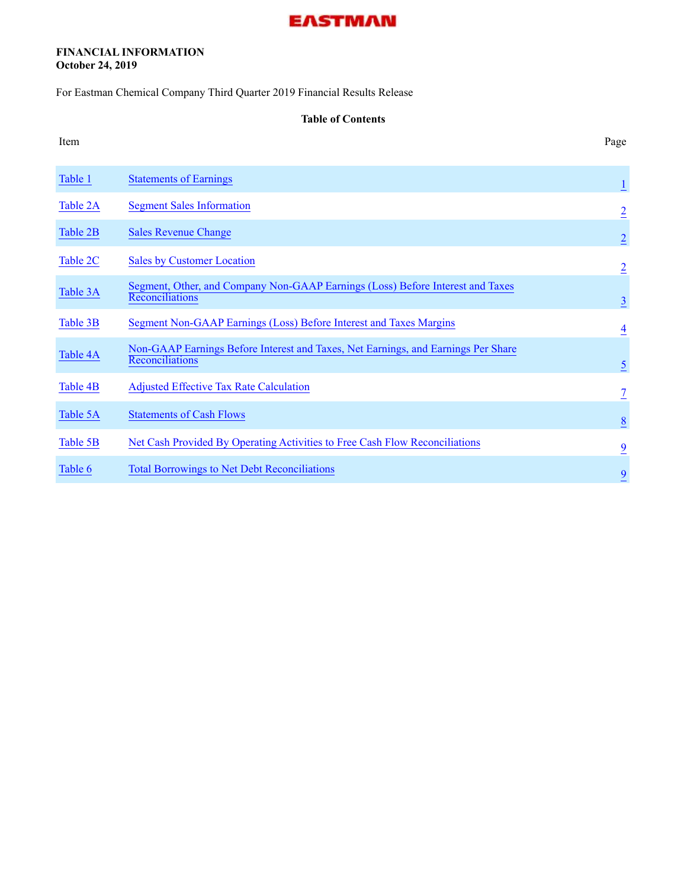### **FINANCIAL INFORMATION October 24, 2019**

For Eastman Chemical Company Third Quarter 2019 Financial Results Release

#### **Table of Contents**

| Table 1  | <b>Statements of Earnings</b>                                                                        | $\overline{1}$  |
|----------|------------------------------------------------------------------------------------------------------|-----------------|
| Table 2A | <b>Segment Sales Information</b>                                                                     | $\overline{2}$  |
| Table 2B | <b>Sales Revenue Change</b>                                                                          | $\overline{2}$  |
| Table 2C | <b>Sales by Customer Location</b>                                                                    | $\overline{2}$  |
| Table 3A | Segment, Other, and Company Non-GAAP Earnings (Loss) Before Interest and Taxes<br>Reconciliations    | $\overline{3}$  |
| Table 3B | Segment Non-GAAP Earnings (Loss) Before Interest and Taxes Margins                                   | $\overline{4}$  |
| Table 4A | Non-GAAP Earnings Before Interest and Taxes, Net Earnings, and Earnings Per Share<br>Reconciliations | $\overline{2}$  |
| Table 4B | <b>Adjusted Effective Tax Rate Calculation</b>                                                       | $\overline{1}$  |
| Table 5A | <b>Statements of Cash Flows</b>                                                                      | $\underline{8}$ |
| Table 5B | Net Cash Provided By Operating Activities to Free Cash Flow Reconciliations                          | $\overline{9}$  |
| Table 6  | <b>Total Borrowings to Net Debt Reconciliations</b>                                                  | $\overline{9}$  |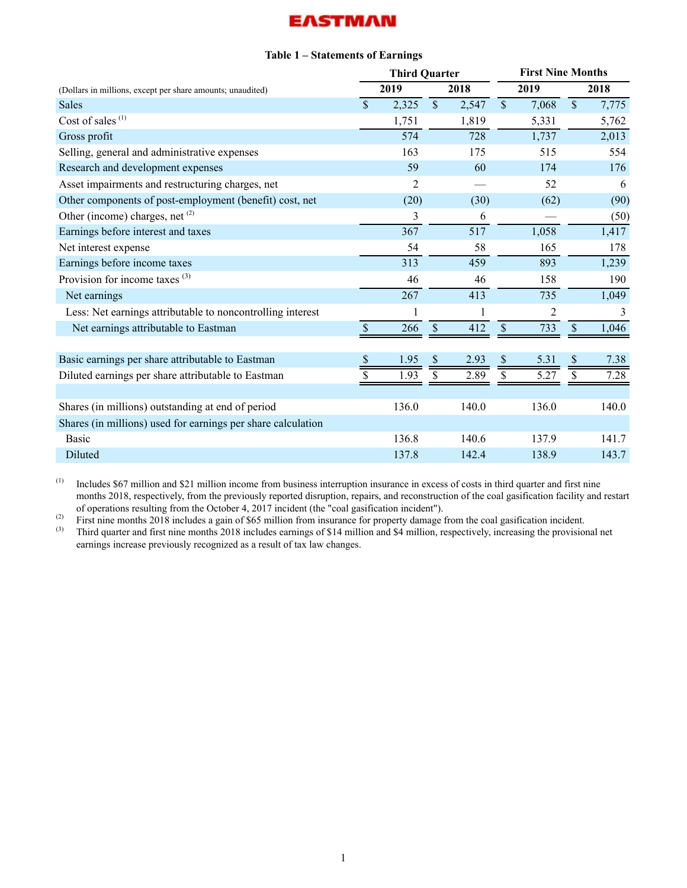### **Table 1 – Statements of Earnings**

<span id="page-1-0"></span>

|                                                              |                    | <b>Third Quarter</b> |               |       | <b>First Nine Months</b> |                |                           |       |  |  |
|--------------------------------------------------------------|--------------------|----------------------|---------------|-------|--------------------------|----------------|---------------------------|-------|--|--|
| (Dollars in millions, except per share amounts; unaudited)   |                    | 2019                 |               | 2018  |                          | 2019           |                           | 2018  |  |  |
| <b>Sales</b>                                                 | $\mathbf{\hat{S}}$ | 2,325                | $\mathcal{S}$ | 2,547 | $\mathbf{\hat{S}}$       | 7,068          | $\mathbf{\hat{S}}$        | 7,775 |  |  |
| Cost of sales <sup>(1)</sup>                                 |                    | 1,751                |               | 1,819 |                          | 5,331          |                           | 5,762 |  |  |
| Gross profit                                                 |                    | 574                  |               | 728   |                          | 1,737          |                           | 2,013 |  |  |
| Selling, general and administrative expenses                 |                    | 163                  |               | 175   |                          | 515            |                           | 554   |  |  |
| Research and development expenses                            |                    | 59                   |               | 60    |                          | 174            |                           | 176   |  |  |
| Asset impairments and restructuring charges, net             |                    | $\overline{2}$       |               |       |                          | 52             |                           | 6     |  |  |
| Other components of post-employment (benefit) cost, net      |                    | (20)                 |               | (30)  |                          | (62)           |                           | (90)  |  |  |
| Other (income) charges, net (2)                              |                    | 3                    |               | 6     |                          |                |                           | (50)  |  |  |
| Earnings before interest and taxes                           |                    | 367                  |               | 517   |                          | 1,058          |                           | 1,417 |  |  |
| Net interest expense                                         |                    | 54                   |               | 58    |                          | 165            |                           | 178   |  |  |
| Earnings before income taxes                                 |                    | 313                  |               | 459   |                          | 893            |                           | 1,239 |  |  |
| Provision for income taxes $(3)$                             |                    | 46                   |               | 46    |                          | 158            |                           | 190   |  |  |
| Net earnings                                                 |                    | 267                  |               | 413   |                          | 735            |                           | 1,049 |  |  |
| Less: Net earnings attributable to noncontrolling interest   |                    |                      |               | 1     |                          | $\overline{c}$ |                           | 3     |  |  |
| Net earnings attributable to Eastman                         | \$                 | 266                  | \$            | 412   | \$                       | 733            | \$                        | 1,046 |  |  |
|                                                              |                    |                      |               |       |                          |                |                           |       |  |  |
| Basic earnings per share attributable to Eastman             | \$                 | 1.95                 | \$            | 2.93  | $\$$                     | 5.31           | $\boldsymbol{\mathsf{S}}$ | 7.38  |  |  |
| Diluted earnings per share attributable to Eastman           | \$                 | 1.93                 | \$            | 2.89  | \$                       | 5.27           | \$                        | 7.28  |  |  |
|                                                              |                    |                      |               |       |                          |                |                           |       |  |  |
| Shares (in millions) outstanding at end of period            |                    | 136.0                |               | 140.0 |                          | 136.0          |                           | 140.0 |  |  |
| Shares (in millions) used for earnings per share calculation |                    |                      |               |       |                          |                |                           |       |  |  |
| <b>Basic</b>                                                 |                    | 136.8                |               | 140.6 |                          | 137.9          |                           | 141.7 |  |  |
| Diluted                                                      |                    | 137.8                |               | 142.4 |                          | 138.9          |                           | 143.7 |  |  |

(1) Includes \$67 million and \$21 million income from business interruption insurance in excess of costs in third quarter and first nine months 2018, respectively, from the previously reported disruption, repairs, and reconstruction of the coal gasification facility and restart of operations resulting from the October 4, 2017 incident (the "coal gasification incident").

(2) First nine months 2018 includes a gain of \$65 million from insurance for property damage from the coal gasification incident.<br>
(3) Third quarter and first nine months 2018 includes earnings of \$14 million and \$4 milli

(3) Third quarter and first nine months 2018 includes earnings of \$14 million and \$4 million, respectively, increasing the provisional net earnings increase previously recognized as a result of tax law changes.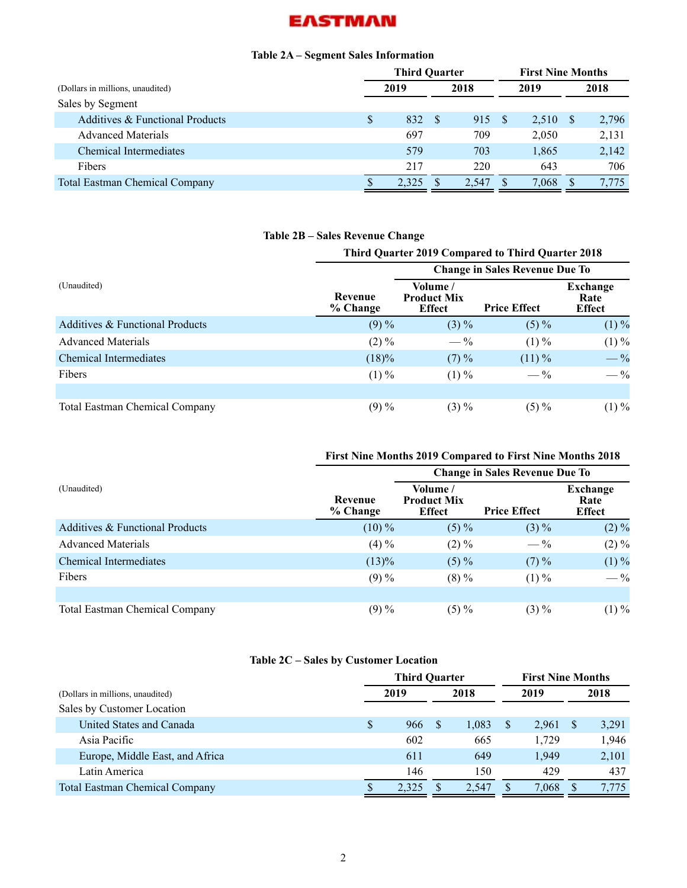### **Table 2A – Segment Sales Information**

<span id="page-2-0"></span>

|                                       | <b>Third Quarter</b> |       |  |       |     |       | <b>First Nine Months</b> |       |  |
|---------------------------------------|----------------------|-------|--|-------|-----|-------|--------------------------|-------|--|
| (Dollars in millions, unaudited)      |                      | 2019  |  | 2018  |     | 2019  |                          | 2018  |  |
| Sales by Segment                      |                      |       |  |       |     |       |                          |       |  |
| Additives & Functional Products       |                      | 832   |  | 915   | - S | 2,510 | -S                       | 2,796 |  |
| <b>Advanced Materials</b>             |                      | 697   |  | 709   |     | 2,050 |                          | 2,131 |  |
| <b>Chemical Intermediates</b>         |                      | 579   |  | 703   |     | 1,865 |                          | 2,142 |  |
| <b>Fibers</b>                         |                      | 217   |  | 220   |     | 643   |                          | 706   |  |
| <b>Total Eastman Chemical Company</b> |                      | 2.325 |  | 2.547 |     | 7,068 |                          | 7.775 |  |

# **Table 2B – Sales Revenue Change**

| <b>Third Quarter 2019 Compared to Third Quarter 2018</b> |                     |                                                 |                                       |                                   |  |  |  |  |  |  |  |  |
|----------------------------------------------------------|---------------------|-------------------------------------------------|---------------------------------------|-----------------------------------|--|--|--|--|--|--|--|--|
|                                                          |                     |                                                 | <b>Change in Sales Revenue Due To</b> |                                   |  |  |  |  |  |  |  |  |
| (Unaudited)                                              | Revenue<br>% Change | Volume /<br><b>Product Mix</b><br><b>Effect</b> | <b>Price Effect</b>                   | Exchange<br>Rate<br><b>Effect</b> |  |  |  |  |  |  |  |  |
| Additives & Functional Products                          | $(9) \%$            | $(3) \%$                                        | $(5) \%$                              | $(1) \%$                          |  |  |  |  |  |  |  |  |
| <b>Advanced Materials</b>                                | $(2) \%$            | $-\frac{9}{6}$                                  | $(1) \%$                              | $(1) \%$                          |  |  |  |  |  |  |  |  |
| Chemical Intermediates                                   | $(18)\%$            | $(7) \%$                                        | $(11)\%$                              | $-$ %                             |  |  |  |  |  |  |  |  |
| <b>Fibers</b>                                            | $(1) \%$            | $(1) \%$                                        | $-\frac{9}{6}$                        | $-\frac{9}{6}$                    |  |  |  |  |  |  |  |  |
|                                                          |                     |                                                 |                                       |                                   |  |  |  |  |  |  |  |  |
| <b>Total Eastman Chemical Company</b>                    | $(9) \%$            | $(3) \%$                                        | $(5) \%$                              | $(1)\%$                           |  |  |  |  |  |  |  |  |

## **First Nine Months 2019 Compared to First Nine Months 2018**

|                                       |                     |                                                 | <b>Change in Sales Revenue Due To</b> |                                   |  |  |  |  |  |
|---------------------------------------|---------------------|-------------------------------------------------|---------------------------------------|-----------------------------------|--|--|--|--|--|
| (Unaudited)                           | Revenue<br>% Change | Volume /<br><b>Product Mix</b><br><b>Effect</b> | <b>Price Effect</b>                   | Exchange<br>Rate<br><b>Effect</b> |  |  |  |  |  |
| Additives & Functional Products       | $(10)\%$            | $(5) \%$                                        | $(3) \%$                              | $(2)\%$                           |  |  |  |  |  |
| <b>Advanced Materials</b>             | $(4) \%$            | $(2) \%$                                        | $-\frac{9}{6}$                        | $(2)\%$                           |  |  |  |  |  |
| <b>Chemical Intermediates</b>         | $(13)\%$            | $(5) \%$                                        | $(7) \%$                              | $(1) \%$                          |  |  |  |  |  |
| Fibers                                | $(9) \%$            | $(8) \%$                                        | $(1) \%$                              | $-$ %                             |  |  |  |  |  |
|                                       |                     |                                                 |                                       |                                   |  |  |  |  |  |
| <b>Total Eastman Chemical Company</b> | $(9) \%$            | $(5) \%$                                        | $(3) \%$                              | $(1)\%$                           |  |  |  |  |  |

### **Table 2C – Sales by Customer Location**

|                                       |  | <b>Third Quarter</b> |  | <b>First Nine Months</b> |       |  |       |
|---------------------------------------|--|----------------------|--|--------------------------|-------|--|-------|
| (Dollars in millions, unaudited)      |  | 2019                 |  | 2018                     | 2019  |  | 2018  |
| Sales by Customer Location            |  |                      |  |                          |       |  |       |
| United States and Canada              |  | 966                  |  | 1,083                    | 2,961 |  | 3,291 |
| Asia Pacific                          |  | 602                  |  | 665                      | 1.729 |  | 1,946 |
| Europe, Middle East, and Africa       |  | 611                  |  | 649                      | 1,949 |  | 2,101 |
| Latin America                         |  | 146                  |  | 150                      | 429   |  | 437   |
| <b>Total Eastman Chemical Company</b> |  | 2.325                |  | 2.547                    | 7,068 |  | 7.775 |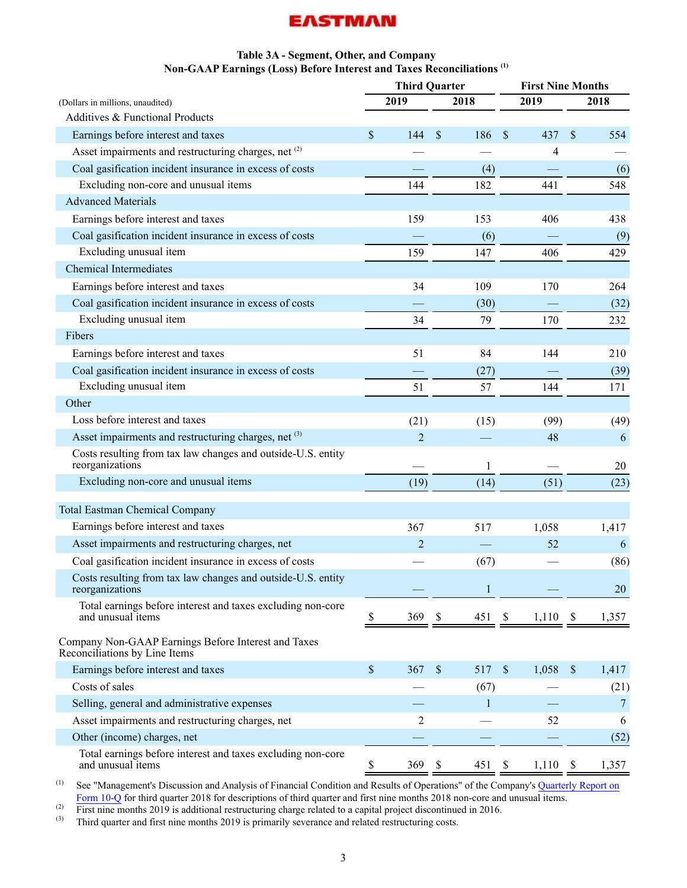### **Table 3A - Segment, Other, and Company Non-GAAP Earnings (Loss) Before Interest and Taxes Reconciliations (1)**

<span id="page-3-0"></span>

|                                                                                      | <b>Third Quarter</b> |                           |        |               | <b>First Nine Months</b> |                           |        |  |  |
|--------------------------------------------------------------------------------------|----------------------|---------------------------|--------|---------------|--------------------------|---------------------------|--------|--|--|
| (Dollars in millions, unaudited)                                                     | 2019                 |                           | 2018   |               | 2019                     |                           | 2018   |  |  |
| Additives & Functional Products                                                      |                      |                           |        |               |                          |                           |        |  |  |
| Earnings before interest and taxes                                                   | \$<br>144            | $\mathcal{S}$             | 186    | $\mathcal{S}$ | 437                      | \$                        | 554    |  |  |
| Asset impairments and restructuring charges, net (2)                                 |                      |                           |        |               | 4                        |                           |        |  |  |
| Coal gasification incident insurance in excess of costs                              |                      |                           | (4)    |               |                          |                           | (6)    |  |  |
| Excluding non-core and unusual items                                                 | 144                  |                           | 182    |               | 441                      |                           | 548    |  |  |
| <b>Advanced Materials</b>                                                            |                      |                           |        |               |                          |                           |        |  |  |
| Earnings before interest and taxes                                                   | 159                  |                           | 153    |               | 406                      |                           | 438    |  |  |
| Coal gasification incident insurance in excess of costs                              |                      |                           | (6)    |               |                          |                           | (9)    |  |  |
| Excluding unusual item                                                               | 159                  |                           | 147    |               | 406                      |                           | 429    |  |  |
| <b>Chemical Intermediates</b>                                                        |                      |                           |        |               |                          |                           |        |  |  |
| Earnings before interest and taxes                                                   | 34                   |                           | 109    |               | 170                      |                           | 264    |  |  |
| Coal gasification incident insurance in excess of costs                              |                      |                           | (30)   |               |                          |                           | (32)   |  |  |
| Excluding unusual item                                                               | 34                   |                           | 79     |               | 170                      |                           | 232    |  |  |
| Fibers                                                                               |                      |                           |        |               |                          |                           |        |  |  |
| Earnings before interest and taxes                                                   | 51                   |                           | 84     |               | 144                      |                           | 210    |  |  |
| Coal gasification incident insurance in excess of costs                              |                      |                           | (27)   |               |                          |                           | (39)   |  |  |
| Excluding unusual item                                                               | 51                   |                           | 57     |               | 144                      |                           | 171    |  |  |
| Other                                                                                |                      |                           |        |               |                          |                           |        |  |  |
| Loss before interest and taxes                                                       | (21)                 |                           | (15)   |               | (99)                     |                           | (49)   |  |  |
| Asset impairments and restructuring charges, net (3)                                 | $\overline{2}$       |                           |        |               | 48                       |                           | 6      |  |  |
| Costs resulting from tax law changes and outside-U.S. entity<br>reorganizations      |                      |                           | 1      |               |                          |                           | 20     |  |  |
| Excluding non-core and unusual items                                                 | (19)                 |                           | (14)   |               | (51)                     |                           | (23)   |  |  |
| <b>Total Eastman Chemical Company</b>                                                |                      |                           |        |               |                          |                           |        |  |  |
| Earnings before interest and taxes                                                   | 367                  |                           | 517    |               | 1,058                    |                           | 1,417  |  |  |
| Asset impairments and restructuring charges, net                                     | $\overline{2}$       |                           |        |               | 52                       |                           | 6      |  |  |
| Coal gasification incident insurance in excess of costs                              |                      |                           | (67)   |               |                          |                           | (86)   |  |  |
| Costs resulting from tax law changes and outside-U.S. entity<br>reorganizations      |                      |                           |        |               |                          |                           | 20     |  |  |
| Total earnings before interest and taxes excluding non-core<br>and unusual items     | \$<br>369            | \$                        | 451 \$ |               | 1,110                    | - \$                      | 1,357  |  |  |
| Company Non-GAAP Earnings Before Interest and Taxes<br>Reconciliations by Line Items |                      |                           |        |               |                          |                           |        |  |  |
| Earnings before interest and taxes                                                   | \$<br>367            | $\mathcal{S}$             | 517    | $\mathcal{S}$ | 1,058                    | $\boldsymbol{\mathsf{S}}$ | 1,417  |  |  |
| Costs of sales                                                                       |                      |                           | (67)   |               |                          |                           | (21)   |  |  |
| Selling, general and administrative expenses                                         |                      |                           | 1      |               |                          |                           | $\tau$ |  |  |
| Asset impairments and restructuring charges, net                                     | 2                    |                           |        |               | 52                       |                           | 6      |  |  |
| Other (income) charges, net                                                          |                      |                           |        |               |                          |                           | (52)   |  |  |
| Total earnings before interest and taxes excluding non-core<br>and unusual items     | \$<br>369            | $\boldsymbol{\mathsf{S}}$ | 451    | \$            | 1,110                    | $\mathbf{\hat{s}}$        | 1,357  |  |  |

(1) See "Management's Discussion and Analysis of Financial Condition and Results of Operations" of the Company's [Quarterly Report on](http://www.sec.gov/Archives/edgar/data/915389/000091538918000058/emn2018093010q.htm) [Form 10-Q](http://www.sec.gov/Archives/edgar/data/915389/000091538918000058/emn2018093010q.htm) for third quarter 2018 for descriptions of third quarter and first nine months 2018 non-core and unusual items.

(2) First nine months 2019 is additional restructuring charge related to a capital project discontinued in 2016.<br>
(3) Third quarter and first nine months 2019 is primarily severance and related restructuring costs

Third quarter and first nine months 2019 is primarily severance and related restructuring costs.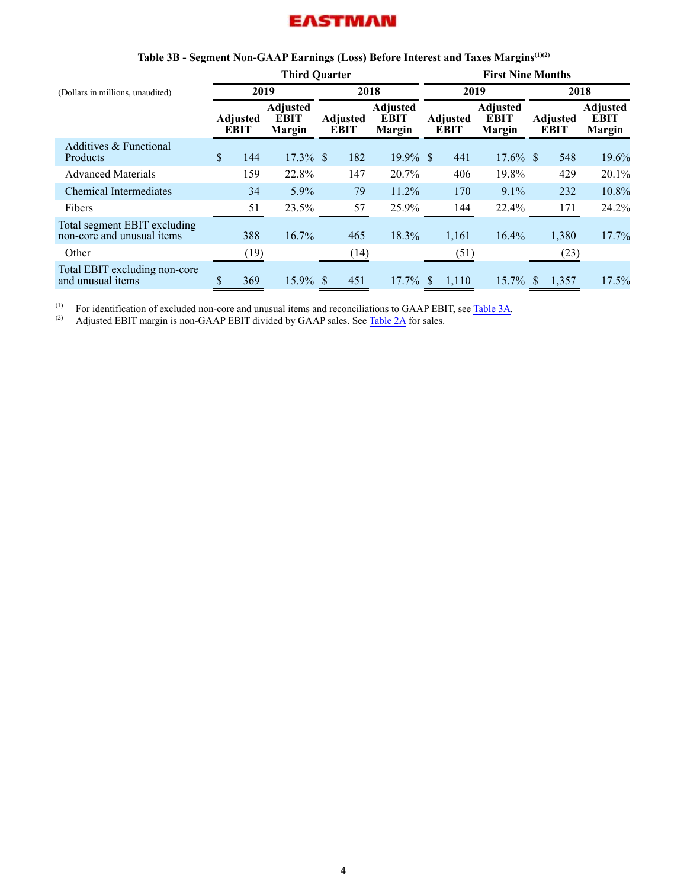<span id="page-4-0"></span>

|                                                            |                                               |      | <b>Third Quarter</b>             |                                |      |                                          | <b>First Nine Months</b>       |       |                                                 |                                |       |                                                 |  |
|------------------------------------------------------------|-----------------------------------------------|------|----------------------------------|--------------------------------|------|------------------------------------------|--------------------------------|-------|-------------------------------------------------|--------------------------------|-------|-------------------------------------------------|--|
| (Dollars in millions, unaudited)                           |                                               | 2019 |                                  |                                | 2018 |                                          |                                | 2019  |                                                 | 2018                           |       |                                                 |  |
|                                                            | <b>EBIT</b><br><b>Adjusted</b><br><b>EBIT</b> |      | <b>Adjusted</b><br><b>Margin</b> | <b>Adjusted</b><br><b>EBIT</b> |      | <b>Adjusted</b><br><b>EBIT</b><br>Margin | <b>Adjusted</b><br><b>EBIT</b> |       | <b>Adjusted</b><br><b>EBIT</b><br><b>Margin</b> | <b>Adjusted</b><br><b>EBIT</b> |       | <b>Adjusted</b><br><b>EBIT</b><br><b>Margin</b> |  |
| Additives & Functional<br>Products                         | \$                                            | 144  | $17.3\%$ \$                      |                                | 182  | $19.9\%$ \$                              |                                | 441   | $17.6\%$ \$                                     |                                | 548   | 19.6%                                           |  |
| <b>Advanced Materials</b>                                  |                                               | 159  | 22.8%                            |                                | 147  | 20.7%                                    |                                | 406   | 19.8%                                           |                                | 429   | 20.1%                                           |  |
| <b>Chemical Intermediates</b>                              |                                               | 34   | 5.9%                             |                                | 79   | 11.2%                                    |                                | 170   | 9.1%                                            |                                | 232   | 10.8%                                           |  |
| <b>Fibers</b>                                              |                                               | 51   | 23.5%                            |                                | 57   | 25.9%                                    |                                | 144   | 22.4%                                           |                                | 171   | 24.2%                                           |  |
| Total segment EBIT excluding<br>non-core and unusual items |                                               | 388  | 16.7%                            |                                | 465  | 18.3%                                    |                                | 1,161 | 16.4%                                           |                                | 1,380 | 17.7%                                           |  |
| Other                                                      |                                               | (19) |                                  |                                | (14) |                                          |                                | (51)  |                                                 |                                | (23)  |                                                 |  |
| Total EBIT excluding non-core<br>and unusual items         |                                               | 369  | $15.9\%$ \$                      |                                | 451  | $17.7\%$                                 |                                | 1,110 | $15.7\%$ \$                                     |                                | 1,357 | 17.5%                                           |  |

## **Table 3B - Segment Non-GAAP Earnings (Loss) Before Interest and Taxes Margins(1)(2)**

(1) For identification of excluded non-core and unusual items and reconciliations to GAAP EBIT, see [Table 3A](#page-3-0).<br>Adjusted EBIT margin is non-GAAP EBIT divided by GAAP sales. See Table 2A for sales

Adjusted EBIT margin is non-GAAP EBIT divided by GAAP sales. See [Table 2A](#page-2-0) for sales.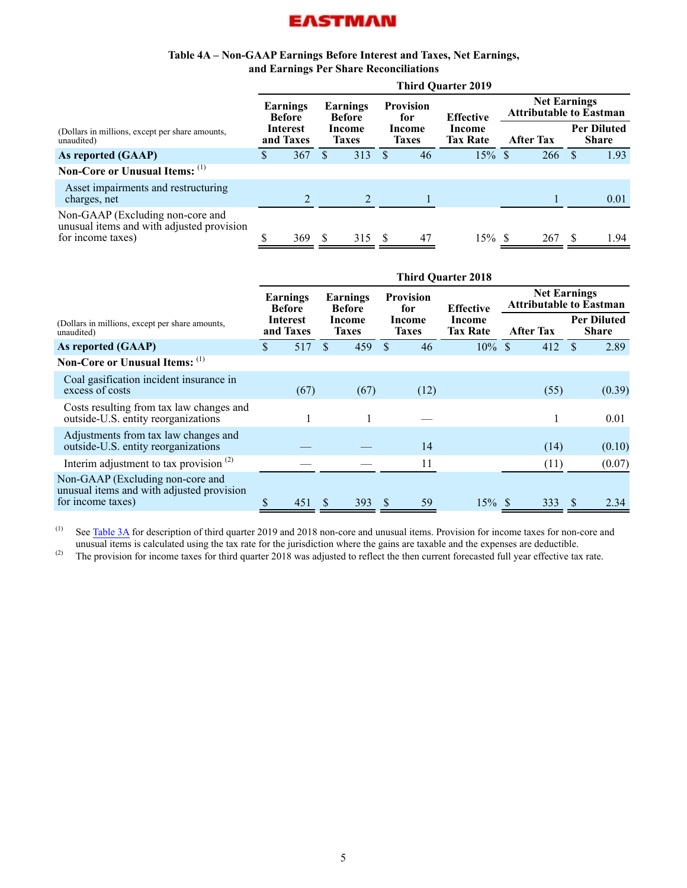#### **Table 4A – Non-GAAP Earnings Before Interest and Taxes, Net Earnings, and Earnings Per Share Reconciliations**

<span id="page-5-0"></span>

|                                                                                                    | <b>Third Quarter 2019</b>    |                           |                        |                           |                        |                         |                           |                                                       |                  |    |                                    |  |  |  |
|----------------------------------------------------------------------------------------------------|------------------------------|---------------------------|------------------------|---------------------------|------------------------|-------------------------|---------------------------|-------------------------------------------------------|------------------|----|------------------------------------|--|--|--|
|                                                                                                    |                              | Earnings<br><b>Before</b> |                        | Earnings<br><b>Before</b> |                        | <b>Provision</b><br>for | <b>Effective</b>          | <b>Net Earnings</b><br><b>Attributable to Eastman</b> |                  |    |                                    |  |  |  |
| (Dollars in millions, except per share amounts,<br>unaudited)                                      | <b>Interest</b><br>and Taxes |                           | Income<br><b>Taxes</b> |                           | Income<br><b>Taxes</b> |                         | Income<br><b>Tax Rate</b> |                                                       | <b>After Tax</b> |    | <b>Per Diluted</b><br><b>Share</b> |  |  |  |
| As reported (GAAP)                                                                                 | S                            | 367                       |                        | 313                       |                        | 46                      | $15\%$ \$                 |                                                       | 266              |    | 1.93                               |  |  |  |
| Non-Core or Unusual Items: (1)                                                                     |                              |                           |                        |                           |                        |                         |                           |                                                       |                  |    |                                    |  |  |  |
| Asset impairments and restructuring<br>charges, net                                                |                              |                           |                        | $\mathfrak{D}$            |                        |                         |                           |                                                       |                  |    | 0.01                               |  |  |  |
| Non-GAAP (Excluding non-core and<br>unusual items and with adjusted provision<br>for income taxes) |                              | 369                       |                        | 315                       |                        | 47                      | $15\%$ \$                 |                                                       | 267              | S. | 1.94                               |  |  |  |

|                                                                                                    | <b>Third Quarter 2018</b> |                              |                           |                        |                         |                        |                           |  |                                                       |                                    |  |  |  |  |
|----------------------------------------------------------------------------------------------------|---------------------------|------------------------------|---------------------------|------------------------|-------------------------|------------------------|---------------------------|--|-------------------------------------------------------|------------------------------------|--|--|--|--|
|                                                                                                    |                           | Earnings<br><b>Before</b>    | Earnings<br><b>Before</b> |                        | <b>Provision</b><br>for |                        | <b>Effective</b>          |  | <b>Net Earnings</b><br><b>Attributable to Eastman</b> |                                    |  |  |  |  |
| (Dollars in millions, except per share amounts,<br>unaudited)                                      |                           | <b>Interest</b><br>and Taxes |                           | Income<br><b>Taxes</b> |                         | Income<br><b>Taxes</b> | Income<br><b>Tax Rate</b> |  | <b>After Tax</b>                                      | <b>Per Diluted</b><br><b>Share</b> |  |  |  |  |
| As reported (GAAP)                                                                                 | \$                        | 517                          | S                         | 459                    |                         | 46                     | $10\%$ \$                 |  | 412                                                   | 2.89<br><b>S</b>                   |  |  |  |  |
| Non-Core or Unusual Items: (1)                                                                     |                           |                              |                           |                        |                         |                        |                           |  |                                                       |                                    |  |  |  |  |
| Coal gasification incident insurance in<br>excess of costs                                         |                           | (67)                         |                           | (67)                   |                         | (12)                   |                           |  | (55)                                                  | (0.39)                             |  |  |  |  |
| Costs resulting from tax law changes and<br>outside-U.S. entity reorganizations                    |                           |                              |                           |                        |                         |                        |                           |  |                                                       | 0.01                               |  |  |  |  |
| Adjustments from tax law changes and<br>outside-U.S. entity reorganizations                        |                           |                              |                           |                        |                         | 14                     |                           |  | (14)                                                  | (0.10)                             |  |  |  |  |
| Interim adjustment to tax provision $(2)$                                                          |                           |                              |                           |                        |                         | 11                     |                           |  | (11)                                                  | (0.07)                             |  |  |  |  |
| Non-GAAP (Excluding non-core and<br>unusual items and with adjusted provision<br>for income taxes) | \$                        | 451                          | <sup>S</sup>              | 393                    | S                       | 59                     | $15\%$ \$                 |  | 333                                                   | <sup>S</sup><br>2.34               |  |  |  |  |

(1) See [Table 3A](#page-3-0) for description of third quarter 2019 and 2018 non-core and unusual items. Provision for income taxes for non-core and unusual items is calculated using the tax rate for the jurisdiction where the gains are taxable and the expenses are deductible.

<sup>(2)</sup> The provision for income taxes for third quarter 2018 was adjusted to reflect the then current forecasted full year effective tax rate.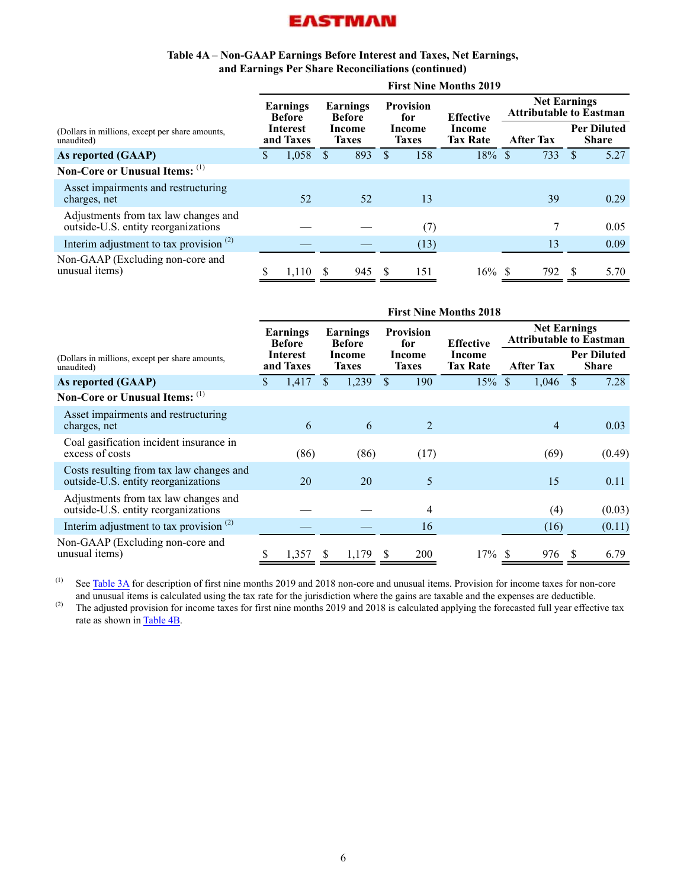#### **Table 4A – Non-GAAP Earnings Before Interest and Taxes, Net Earnings, and Earnings Per Share Reconciliations (continued)**

|                                                                             | <b>First Nine Months 2019</b> |                       |                        |                           |                        |                         |                           |                                                       |     |                                    |      |  |  |  |
|-----------------------------------------------------------------------------|-------------------------------|-----------------------|------------------------|---------------------------|------------------------|-------------------------|---------------------------|-------------------------------------------------------|-----|------------------------------------|------|--|--|--|
|                                                                             | Earnings<br><b>Before</b>     |                       |                        | Earnings<br><b>Before</b> |                        | <b>Provision</b><br>for | <b>Effective</b>          | <b>Net Earnings</b><br><b>Attributable to Eastman</b> |     |                                    |      |  |  |  |
| (Dollars in millions, except per share amounts,<br>unaudited)               |                               | Interest<br>and Taxes | Income<br><b>Taxes</b> |                           | Income<br><b>Taxes</b> |                         | Income<br><b>Tax Rate</b> | <b>After Tax</b>                                      |     | <b>Per Diluted</b><br><b>Share</b> |      |  |  |  |
| As reported (GAAP)                                                          | S.                            | 1,058                 | \$                     | 893                       | $\mathbb{S}$           | 158                     | $18\%$ \$                 |                                                       | 733 | <sup>\$</sup>                      | 5.27 |  |  |  |
| Non-Core or Unusual Items: (1)                                              |                               |                       |                        |                           |                        |                         |                           |                                                       |     |                                    |      |  |  |  |
| Asset impairments and restructuring<br>charges, net                         |                               | 52                    |                        | 52                        |                        | 13                      |                           |                                                       | 39  |                                    | 0.29 |  |  |  |
| Adjustments from tax law changes and<br>outside-U.S. entity reorganizations |                               |                       |                        |                           |                        | (7)                     |                           |                                                       |     |                                    | 0.05 |  |  |  |
| Interim adjustment to tax provision $(2)$                                   |                               |                       |                        |                           |                        | (13)                    |                           |                                                       | 13  |                                    | 0.09 |  |  |  |
| Non-GAAP (Excluding non-core and<br>unusual items)                          |                               | 1,110                 | S                      | 945                       | -S                     | 151                     | $16\%$ \$                 |                                                       | 792 | S                                  | 5.70 |  |  |  |

|                                                                                 | <b>First Nine Months 2018</b> |                           |     |                                                     |              |                         |                  |                                                       |                           |               |                  |                                    |  |  |
|---------------------------------------------------------------------------------|-------------------------------|---------------------------|-----|-----------------------------------------------------|--------------|-------------------------|------------------|-------------------------------------------------------|---------------------------|---------------|------------------|------------------------------------|--|--|
|                                                                                 |                               | Earnings<br><b>Before</b> |     | Earnings<br><b>Before</b><br>Income<br><b>Taxes</b> |              | <b>Provision</b><br>for | <b>Effective</b> | <b>Net Earnings</b><br><b>Attributable to Eastman</b> |                           |               |                  |                                    |  |  |
| (Dollars in millions, except per share amounts,<br>unaudited)                   |                               | Interest<br>and Taxes     |     |                                                     |              |                         |                  | Income<br><b>Taxes</b>                                | Income<br><b>Tax Rate</b> |               | <b>After Tax</b> | <b>Per Diluted</b><br><b>Share</b> |  |  |
| As reported (GAAP)                                                              | \$                            | 1,417                     | \$. | 1,239                                               | \$.          | 190                     | 15%              | <sup>S</sup>                                          | 1,046                     | <sup>\$</sup> | 7.28             |                                    |  |  |
| Non-Core or Unusual Items: (1)                                                  |                               |                           |     |                                                     |              |                         |                  |                                                       |                           |               |                  |                                    |  |  |
| Asset impairments and restructuring<br>charges, net                             |                               | 6                         |     | 6                                                   |              | $\overline{2}$          |                  |                                                       | $\overline{4}$            |               | 0.03             |                                    |  |  |
| Coal gasification incident insurance in<br>excess of costs                      |                               | (86)                      |     | (86)                                                |              | (17)                    |                  |                                                       | (69)                      |               | (0.49)           |                                    |  |  |
| Costs resulting from tax law changes and<br>outside-U.S. entity reorganizations |                               | 20                        |     | 20                                                  |              | 5                       |                  |                                                       | 15                        |               | 0.11             |                                    |  |  |
| Adjustments from tax law changes and<br>outside-U.S. entity reorganizations     |                               |                           |     |                                                     |              | 4                       |                  |                                                       | (4)                       |               | (0.03)           |                                    |  |  |
| Interim adjustment to tax provision $(2)$                                       |                               |                           |     |                                                     |              | 16                      |                  |                                                       | (16)                      |               | (0.11)           |                                    |  |  |
| Non-GAAP (Excluding non-core and<br>unusual items)                              |                               | 1,357                     | -S  | 1,179                                               | <sup>8</sup> | 200                     | $17\%$ \$        |                                                       | 976                       | -S            | 6.79             |                                    |  |  |

<sup>(1)</sup> See [Table 3A](#page-3-0) for description of first nine months 2019 and 2018 non-core and unusual items. Provision for income taxes for non-core and unusual items is calculated using the tax rate for the jurisdiction where the gains are taxable and the expenses are deductible.

(2) The adjusted provision for income taxes for first nine months 2019 and 2018 is calculated applying the forecasted full year effective tax rate as shown in [Table 4B](#page-7-0).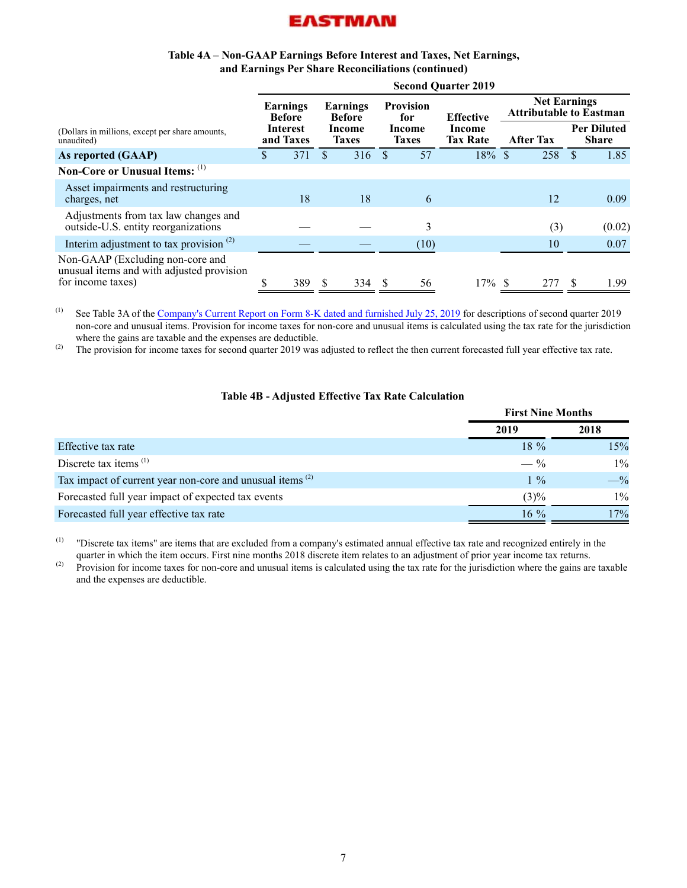

#### **Table 4A – Non-GAAP Earnings Before Interest and Taxes, Net Earnings, and Earnings Per Share Reconciliations (continued)**

<span id="page-7-0"></span>

|                                                                                                    | <b>Second Quarter 2019</b> |                           |    |                           |                         |                        |                           |                                                       |                  |     |                                    |  |
|----------------------------------------------------------------------------------------------------|----------------------------|---------------------------|----|---------------------------|-------------------------|------------------------|---------------------------|-------------------------------------------------------|------------------|-----|------------------------------------|--|
|                                                                                                    |                            | Earnings<br><b>Before</b> |    | Earnings<br><b>Before</b> | <b>Provision</b><br>for |                        | <b>Effective</b>          | <b>Net Earnings</b><br><b>Attributable to Eastman</b> |                  |     |                                    |  |
| (Dollars in millions, except per share amounts,<br>unaudited)                                      |                            | Interest<br>and Taxes     |    | Income<br><b>Taxes</b>    |                         | Income<br><b>Taxes</b> | Income<br><b>Tax Rate</b> |                                                       | <b>After Tax</b> |     | <b>Per Diluted</b><br><b>Share</b> |  |
| As reported (GAAP)                                                                                 | S.                         | 371                       | S. | 316                       | <b>S</b>                | 57                     | $18\%$ \$                 |                                                       | 258              | \$. | 1.85                               |  |
| Non-Core or Unusual Items: (1)                                                                     |                            |                           |    |                           |                         |                        |                           |                                                       |                  |     |                                    |  |
| Asset impairments and restructuring<br>charges, net                                                |                            | 18                        |    | 18                        |                         | 6                      |                           |                                                       | 12               |     | 0.09                               |  |
| Adjustments from tax law changes and<br>outside-U.S. entity reorganizations                        |                            |                           |    |                           |                         | 3                      |                           |                                                       | (3)              |     | (0.02)                             |  |
| Interim adjustment to tax provision $(2)$                                                          |                            |                           |    |                           |                         | (10)                   |                           |                                                       | 10               |     | 0.07                               |  |
| Non-GAAP (Excluding non-core and<br>unusual items and with adjusted provision<br>for income taxes) |                            | 389                       | -S | 334                       | - S                     | 56                     | $17\%$ \$                 |                                                       | 277              | -S  | 1.99                               |  |

<sup>(1)</sup> See Table 3A of the [Company's Current Report on Form 8-K dated and furnished July 25, 2019](http://www.sec.gov/Archives/edgar/data/915389/000091538919000044/ex990120190630cctables.htm) for descriptions of second quarter 2019 non-core and unusual items. Provision for income taxes for non-core and unusual items is calculated using the tax rate for the jurisdiction where the gains are taxable and the expenses are deductible.

<sup>(2)</sup> The provision for income taxes for second quarter 2019 was adjusted to reflect the then current forecasted full year effective tax rate.

#### **Table 4B - Adjusted Effective Tax Rate Calculation**

|                                                                      | <b>First Nine Months</b> |       |  |
|----------------------------------------------------------------------|--------------------------|-------|--|
|                                                                      | 2019                     | 2018  |  |
| Effective tax rate                                                   | $18\%$                   | 15%   |  |
| Discrete tax items $(1)$                                             | $- \frac{9}{6}$          | $1\%$ |  |
| Tax impact of current year non-core and unusual items <sup>(2)</sup> | $1\%$                    | $-$ % |  |
| Forecasted full year impact of expected tax events                   | $(3)\%$                  | $1\%$ |  |
| Forecasted full year effective tax rate                              | $16\%$                   | 17%   |  |

(1) "Discrete tax items" are items that are excluded from a company's estimated annual effective tax rate and recognized entirely in the quarter in which the item occurs. First nine months 2018 discrete item relates to an adjustment of prior year income tax returns.

<sup>(2)</sup> Provision for income taxes for non-core and unusual items is calculated using the tax rate for the jurisdiction where the gains are taxable and the expenses are deductible.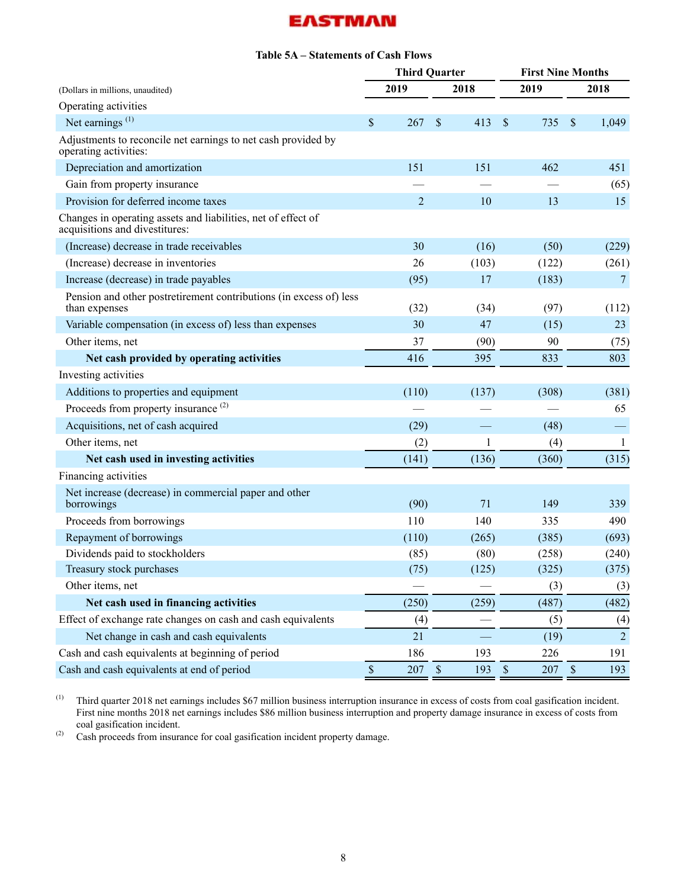### **Table 5A – Statements of Cash Flows**

<span id="page-8-0"></span>

| (Dollars in millions, unaudited)                                                                |              | <b>Third Quarter</b> |             |       |               | <b>First Nine Months</b> |                           |                |  |
|-------------------------------------------------------------------------------------------------|--------------|----------------------|-------------|-------|---------------|--------------------------|---------------------------|----------------|--|
|                                                                                                 |              | 2019                 |             | 2018  |               | 2019                     |                           | 2018           |  |
| Operating activities                                                                            |              |                      |             |       |               |                          |                           |                |  |
| Net earnings $(1)$                                                                              | \$           | 267                  | \$          | 413   | $\mathcal{S}$ | 735                      | $\boldsymbol{\mathsf{S}}$ | 1,049          |  |
| Adjustments to reconcile net earnings to net cash provided by<br>operating activities:          |              |                      |             |       |               |                          |                           |                |  |
| Depreciation and amortization                                                                   |              | 151                  |             | 151   |               | 462                      |                           | 451            |  |
| Gain from property insurance                                                                    |              |                      |             |       |               |                          |                           | (65)           |  |
| Provision for deferred income taxes                                                             |              | $\overline{2}$       |             | 10    |               | 13                       |                           | 15             |  |
| Changes in operating assets and liabilities, net of effect of<br>acquisitions and divestitures: |              |                      |             |       |               |                          |                           |                |  |
| (Increase) decrease in trade receivables                                                        |              | 30                   |             | (16)  |               | (50)                     |                           | (229)          |  |
| (Increase) decrease in inventories                                                              |              | 26                   |             | (103) |               | (122)                    |                           | (261)          |  |
| Increase (decrease) in trade payables                                                           |              | (95)                 |             | 17    |               | (183)                    |                           | $\overline{7}$ |  |
| Pension and other postretirement contributions (in excess of) less<br>than expenses             |              | (32)                 |             | (34)  |               | (97)                     |                           | (112)          |  |
| Variable compensation (in excess of) less than expenses                                         |              | 30                   |             | 47    |               | (15)                     |                           | 23             |  |
| Other items, net                                                                                |              | 37                   |             | (90)  |               | 90                       |                           | (75)           |  |
| Net cash provided by operating activities                                                       |              | 416                  |             | 395   |               | 833                      |                           | 803            |  |
| Investing activities                                                                            |              |                      |             |       |               |                          |                           |                |  |
| Additions to properties and equipment                                                           |              | (110)                |             | (137) |               | (308)                    |                           | (381)          |  |
| Proceeds from property insurance <sup>(2)</sup>                                                 |              |                      |             |       |               |                          |                           | 65             |  |
| Acquisitions, net of cash acquired                                                              |              | (29)                 |             |       |               | (48)                     |                           |                |  |
| Other items, net                                                                                |              | (2)                  |             | 1     |               | (4)                      |                           | $\mathbf{1}$   |  |
| Net cash used in investing activities                                                           |              | (141)                |             | (136) |               | (360)                    |                           | (315)          |  |
| Financing activities                                                                            |              |                      |             |       |               |                          |                           |                |  |
| Net increase (decrease) in commercial paper and other<br>borrowings                             |              | (90)                 |             | 71    |               | 149                      |                           | 339            |  |
| Proceeds from borrowings                                                                        |              | 110                  |             | 140   |               | 335                      |                           | 490            |  |
| Repayment of borrowings                                                                         |              | (110)                |             | (265) |               | (385)                    |                           | (693)          |  |
| Dividends paid to stockholders                                                                  |              | (85)                 |             | (80)  |               | (258)                    |                           | (240)          |  |
| Treasury stock purchases                                                                        |              | (75)                 |             | (125) |               | (325)                    |                           | (375)          |  |
| Other items, net                                                                                |              |                      |             |       |               | (3)                      |                           | (3)            |  |
| Net cash used in financing activities                                                           |              | (250)                |             | (259) |               | (487)                    |                           | (482)          |  |
| Effect of exchange rate changes on cash and cash equivalents                                    |              | (4)                  |             |       |               | (5)                      |                           | (4)            |  |
| Net change in cash and cash equivalents                                                         |              | 21                   |             |       |               | (19)                     |                           | $\overline{2}$ |  |
| Cash and cash equivalents at beginning of period                                                |              | 186                  |             | 193   |               | 226                      |                           | 191            |  |
| Cash and cash equivalents at end of period                                                      | $\mathbb{S}$ | 207                  | $\mathbb S$ | 193   | $\mathbb S$   | 207                      | $\sqrt{\ }$               | 193            |  |

(1) Third quarter 2018 net earnings includes \$67 million business interruption insurance in excess of costs from coal gasification incident. First nine months 2018 net earnings includes \$86 million business interruption and property damage insurance in excess of costs from coal gasification incident.

 $^{(2)}$  Cash proceeds from insurance for coal gasification incident property damage.